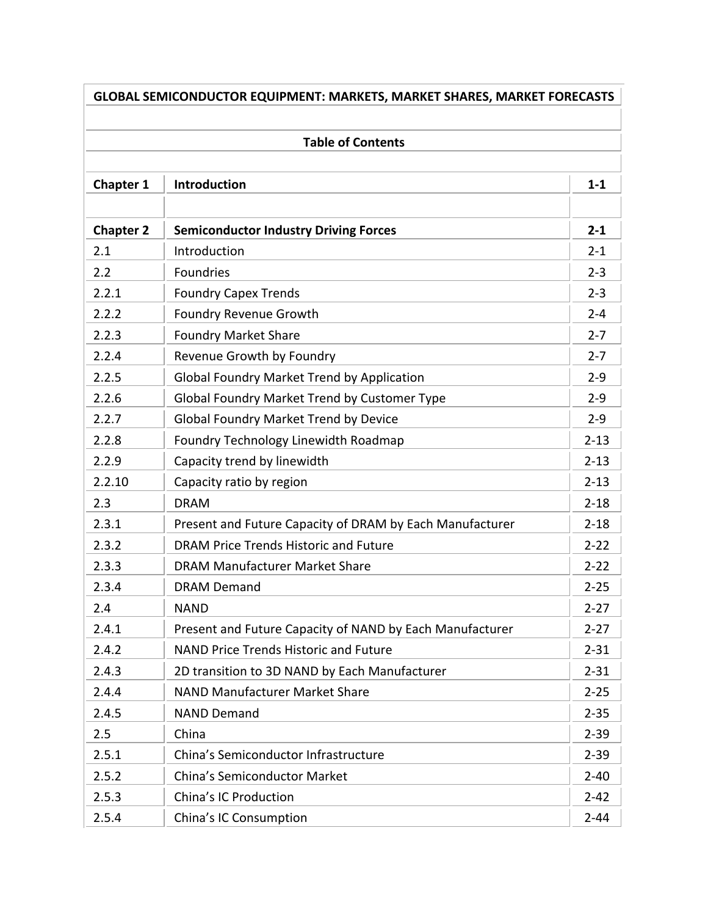|                  | <b>Table of Contents</b>                                 |          |
|------------------|----------------------------------------------------------|----------|
| <b>Chapter 1</b> | <b>Introduction</b>                                      | $1 - 1$  |
| <b>Chapter 2</b> | <b>Semiconductor Industry Driving Forces</b>             | $2 - 1$  |
| 2.1              | Introduction                                             | $2 - 1$  |
| 2.2              | Foundries                                                | $2 - 3$  |
| 2.2.1            | <b>Foundry Capex Trends</b>                              | $2 - 3$  |
| 2.2.2            | <b>Foundry Revenue Growth</b>                            | $2 - 4$  |
| 2.2.3            | <b>Foundry Market Share</b>                              | $2 - 7$  |
| 2.2.4            | Revenue Growth by Foundry                                | $2 - 7$  |
| 2.2.5            | <b>Global Foundry Market Trend by Application</b>        | $2 - 9$  |
| 2.2.6            | Global Foundry Market Trend by Customer Type             | $2 - 9$  |
| 2.2.7            | <b>Global Foundry Market Trend by Device</b>             | $2 - 9$  |
| 2.2.8            | Foundry Technology Linewidth Roadmap                     | $2 - 13$ |
| 2.2.9            | Capacity trend by linewidth                              | $2 - 13$ |
| 2.2.10           | Capacity ratio by region                                 | $2 - 13$ |
| 2.3              | <b>DRAM</b>                                              | $2 - 18$ |
| 2.3.1            | Present and Future Capacity of DRAM by Each Manufacturer | $2 - 18$ |
| 2.3.2            | <b>DRAM Price Trends Historic and Future</b>             | $2 - 22$ |
| 2.3.3            | <b>DRAM Manufacturer Market Share</b>                    | $2 - 22$ |
| 2.3.4            | <b>DRAM Demand</b>                                       | $2 - 25$ |
| 2.4              | <b>NAND</b>                                              | $2 - 27$ |
| 2.4.1            | Present and Future Capacity of NAND by Each Manufacturer | $2 - 27$ |
| 2.4.2            | <b>NAND Price Trends Historic and Future</b>             | $2 - 31$ |
| 2.4.3            | 2D transition to 3D NAND by Each Manufacturer            | $2 - 31$ |
| 2.4.4            | <b>NAND Manufacturer Market Share</b>                    | $2 - 25$ |
| 2.4.5            | <b>NAND Demand</b>                                       | $2 - 35$ |
| 2.5              | China                                                    | $2 - 39$ |
| 2.5.1            | China's Semiconductor Infrastructure                     | $2 - 39$ |
| 2.5.2            | <b>China's Semiconductor Market</b>                      | $2 - 40$ |
| 2.5.3            | China's IC Production                                    | $2 - 42$ |
| 2.5.4            | China's IC Consumption                                   | $2 - 44$ |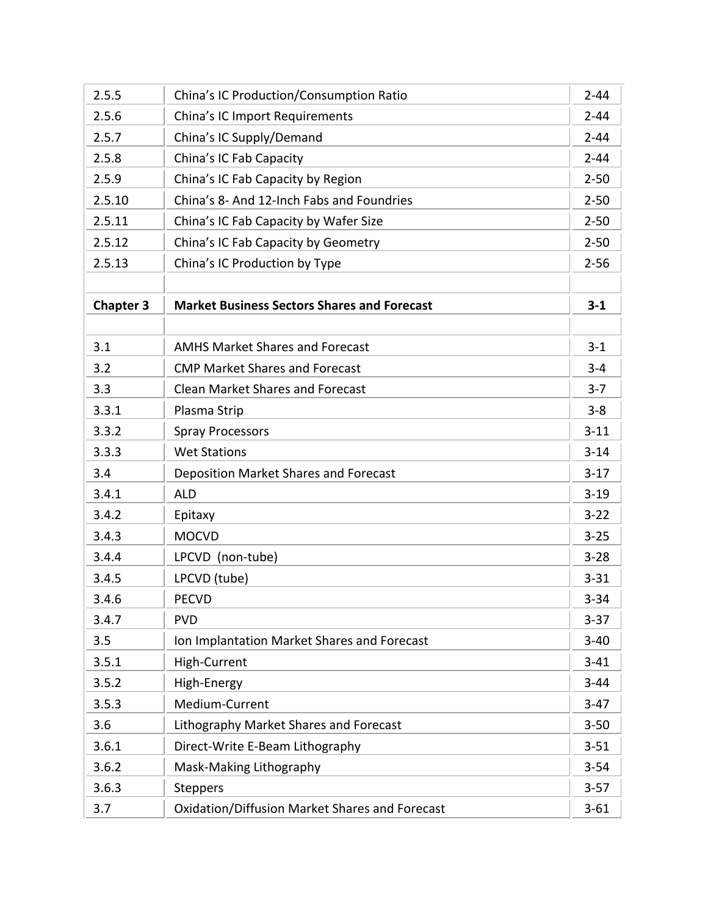| 2.5.5            | China's IC Production/Consumption Ratio            | $2 - 44$ |
|------------------|----------------------------------------------------|----------|
| 2.5.6            | China's IC Import Requirements                     | $2 - 44$ |
| 2.5.7            | China's IC Supply/Demand                           | $2 - 44$ |
| 2.5.8            | China's IC Fab Capacity                            | $2 - 44$ |
| 2.5.9            | China's IC Fab Capacity by Region                  | $2 - 50$ |
| 2.5.10           | China's 8- And 12-Inch Fabs and Foundries          | $2 - 50$ |
| 2.5.11           | China's IC Fab Capacity by Wafer Size              | $2 - 50$ |
| 2.5.12           | China's IC Fab Capacity by Geometry                | $2 - 50$ |
| 2.5.13           | China's IC Production by Type                      | $2 - 56$ |
|                  |                                                    |          |
| <b>Chapter 3</b> | <b>Market Business Sectors Shares and Forecast</b> | $3 - 1$  |
|                  |                                                    |          |
| 3.1              | <b>AMHS Market Shares and Forecast</b>             | $3-1$    |
| 3.2              | <b>CMP Market Shares and Forecast</b>              | $3 - 4$  |
| 3.3              | <b>Clean Market Shares and Forecast</b>            | $3 - 7$  |
| 3.3.1            | Plasma Strip                                       | $3 - 8$  |
| 3.3.2            | <b>Spray Processors</b>                            | $3 - 11$ |
| 3.3.3            | <b>Wet Stations</b>                                | $3 - 14$ |
| 3.4              | <b>Deposition Market Shares and Forecast</b>       | $3-17$   |
| 3.4.1            | <b>ALD</b>                                         | $3 - 19$ |
| 3.4.2            | Epitaxy                                            | $3 - 22$ |
| 3.4.3            | <b>MOCVD</b>                                       | $3 - 25$ |
| 3.4.4            | LPCVD (non-tube)                                   | $3 - 28$ |
| 3.4.5            | LPCVD (tube)                                       | $3 - 31$ |
| 3.4.6            | <b>PECVD</b>                                       | $3 - 34$ |
| 3.4.7            | <b>PVD</b>                                         | $3 - 37$ |
| 3.5              | Ion Implantation Market Shares and Forecast        | $3 - 40$ |
| 3.5.1            | High-Current                                       | $3 - 41$ |
| 3.5.2            | High-Energy                                        | $3 - 44$ |
| 3.5.3            | Medium-Current                                     | $3 - 47$ |
| 3.6              | Lithography Market Shares and Forecast             | $3 - 50$ |
| 3.6.1            | Direct-Write E-Beam Lithography                    | $3 - 51$ |
| 3.6.2            | Mask-Making Lithography                            | $3 - 54$ |
| 3.6.3            | <b>Steppers</b>                                    | $3 - 57$ |
| 3.7              | Oxidation/Diffusion Market Shares and Forecast     | $3 - 61$ |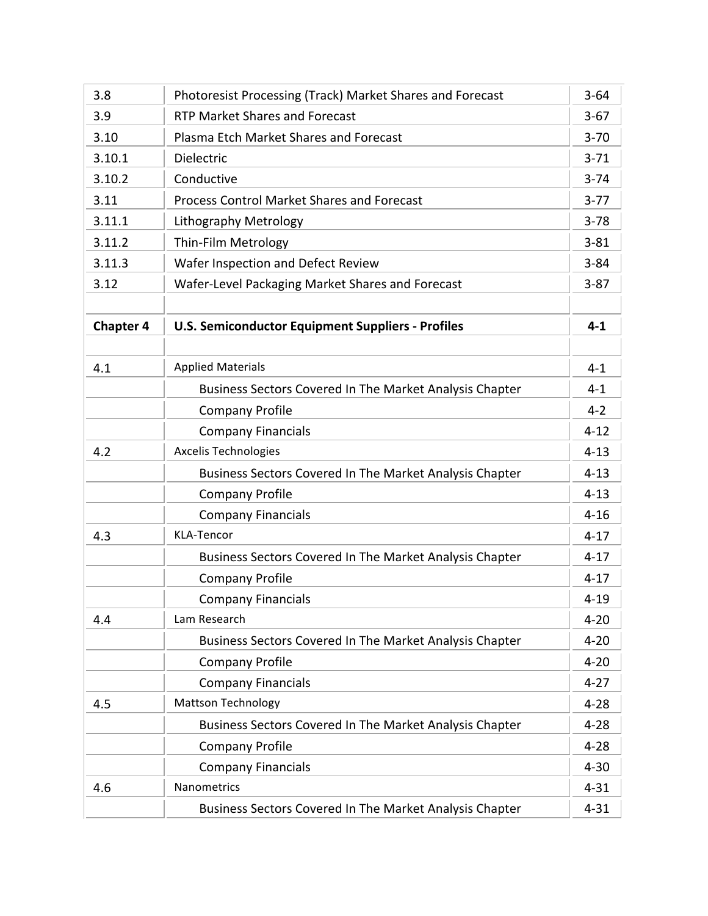| 3.8              | Photoresist Processing (Track) Market Shares and Forecast | $3 - 64$ |
|------------------|-----------------------------------------------------------|----------|
| 3.9              | <b>RTP Market Shares and Forecast</b>                     | $3 - 67$ |
| 3.10             | Plasma Etch Market Shares and Forecast                    | $3 - 70$ |
| 3.10.1           | Dielectric                                                | $3 - 71$ |
| 3.10.2           | Conductive                                                | $3 - 74$ |
| 3.11             | <b>Process Control Market Shares and Forecast</b>         | $3 - 77$ |
| 3.11.1           | <b>Lithography Metrology</b>                              | $3 - 78$ |
| 3.11.2           | Thin-Film Metrology                                       | $3 - 81$ |
| 3.11.3           | Wafer Inspection and Defect Review                        | $3 - 84$ |
| 3.12             | Wafer-Level Packaging Market Shares and Forecast          | $3 - 87$ |
|                  |                                                           |          |
| <b>Chapter 4</b> | <b>U.S. Semiconductor Equipment Suppliers - Profiles</b>  | $4 - 1$  |
|                  |                                                           |          |
| 4.1              | <b>Applied Materials</b>                                  | $4 - 1$  |
|                  | Business Sectors Covered In The Market Analysis Chapter   | $4 - 1$  |
|                  | <b>Company Profile</b>                                    | $4 - 2$  |
|                  | <b>Company Financials</b>                                 | $4 - 12$ |
| 4.2              | <b>Axcelis Technologies</b>                               | $4 - 13$ |
|                  | Business Sectors Covered In The Market Analysis Chapter   | $4 - 13$ |
|                  | <b>Company Profile</b>                                    | $4 - 13$ |
|                  | <b>Company Financials</b>                                 | $4 - 16$ |
| 4.3              | <b>KLA-Tencor</b>                                         | $4 - 17$ |
|                  | Business Sectors Covered In The Market Analysis Chapter   | $4 - 17$ |
|                  | <b>Company Profile</b>                                    | $4 - 17$ |
|                  | <b>Company Financials</b>                                 | $4 - 19$ |
| 4.4              | Lam Research                                              | $4 - 20$ |
|                  | Business Sectors Covered In The Market Analysis Chapter   | $4 - 20$ |
|                  | <b>Company Profile</b>                                    | $4 - 20$ |
|                  | <b>Company Financials</b>                                 | $4 - 27$ |
| 4.5              | <b>Mattson Technology</b>                                 | $4 - 28$ |
|                  | Business Sectors Covered In The Market Analysis Chapter   | $4 - 28$ |
|                  | <b>Company Profile</b>                                    | $4 - 28$ |
|                  | <b>Company Financials</b>                                 | $4 - 30$ |
| 4.6              | Nanometrics                                               | $4 - 31$ |
|                  | Business Sectors Covered In The Market Analysis Chapter   | $4 - 31$ |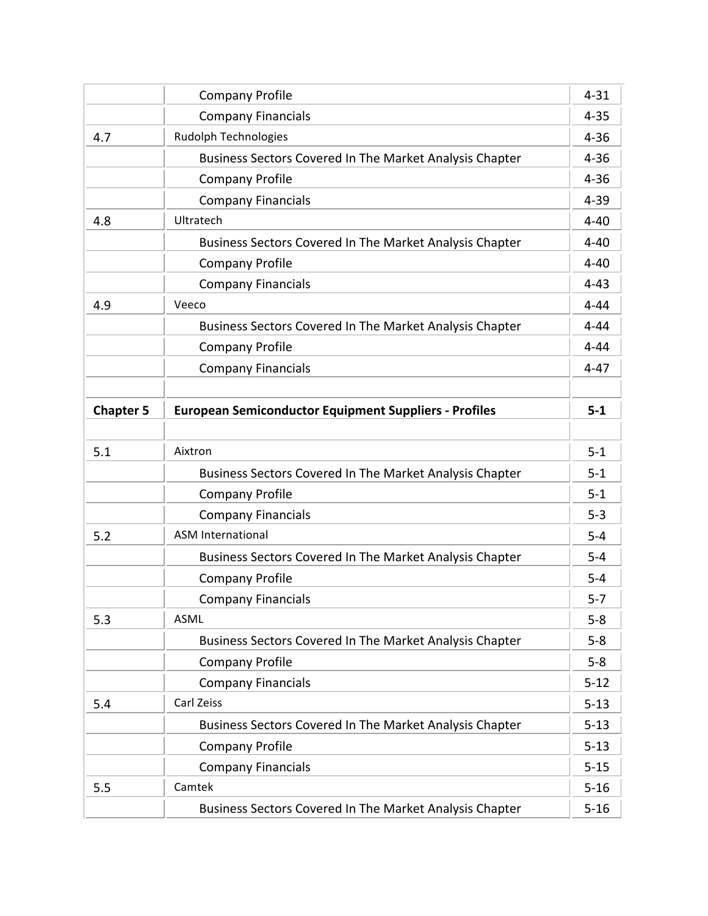|                  | <b>Company Profile</b>                                       | $4 - 31$ |
|------------------|--------------------------------------------------------------|----------|
|                  | <b>Company Financials</b>                                    | $4 - 35$ |
| 4.7              | Rudolph Technologies                                         | $4 - 36$ |
|                  | Business Sectors Covered In The Market Analysis Chapter      | $4 - 36$ |
|                  | <b>Company Profile</b>                                       | $4 - 36$ |
|                  | <b>Company Financials</b>                                    | $4 - 39$ |
| 4.8              | Ultratech                                                    | $4 - 40$ |
|                  | Business Sectors Covered In The Market Analysis Chapter      | $4 - 40$ |
|                  | <b>Company Profile</b>                                       | $4 - 40$ |
|                  | <b>Company Financials</b>                                    | $4 - 43$ |
| 4.9              | Veeco                                                        | $4 - 44$ |
|                  | Business Sectors Covered In The Market Analysis Chapter      | $4 - 44$ |
|                  | <b>Company Profile</b>                                       | $4 - 44$ |
|                  | <b>Company Financials</b>                                    | $4 - 47$ |
|                  |                                                              |          |
| <b>Chapter 5</b> | <b>European Semiconductor Equipment Suppliers - Profiles</b> | $5-1$    |
|                  |                                                              |          |
| 5.1              | Aixtron                                                      | $5-1$    |
|                  | Business Sectors Covered In The Market Analysis Chapter      | $5 - 1$  |
|                  | <b>Company Profile</b>                                       | $5 - 1$  |
|                  | <b>Company Financials</b>                                    | $5 - 3$  |
| 5.2              | <b>ASM International</b>                                     | $5-4$    |
|                  | Business Sectors Covered In The Market Analysis Chapter      | $5-4$    |
|                  | <b>Company Profile</b>                                       | $5 - 4$  |
|                  | <b>Company Financials</b>                                    | $5 - 7$  |
| 5.3              | ASML                                                         | $5 - 8$  |
|                  | Business Sectors Covered In The Market Analysis Chapter      | $5-8$    |
|                  | <b>Company Profile</b>                                       | $5-8$    |
|                  | <b>Company Financials</b>                                    | $5 - 12$ |
| 5.4              | Carl Zeiss                                                   | $5 - 13$ |
|                  | Business Sectors Covered In The Market Analysis Chapter      | $5 - 13$ |
|                  | <b>Company Profile</b>                                       | $5 - 13$ |
|                  | <b>Company Financials</b>                                    | $5 - 15$ |
| 5.5              | Camtek                                                       | $5 - 16$ |
|                  | Business Sectors Covered In The Market Analysis Chapter      | $5 - 16$ |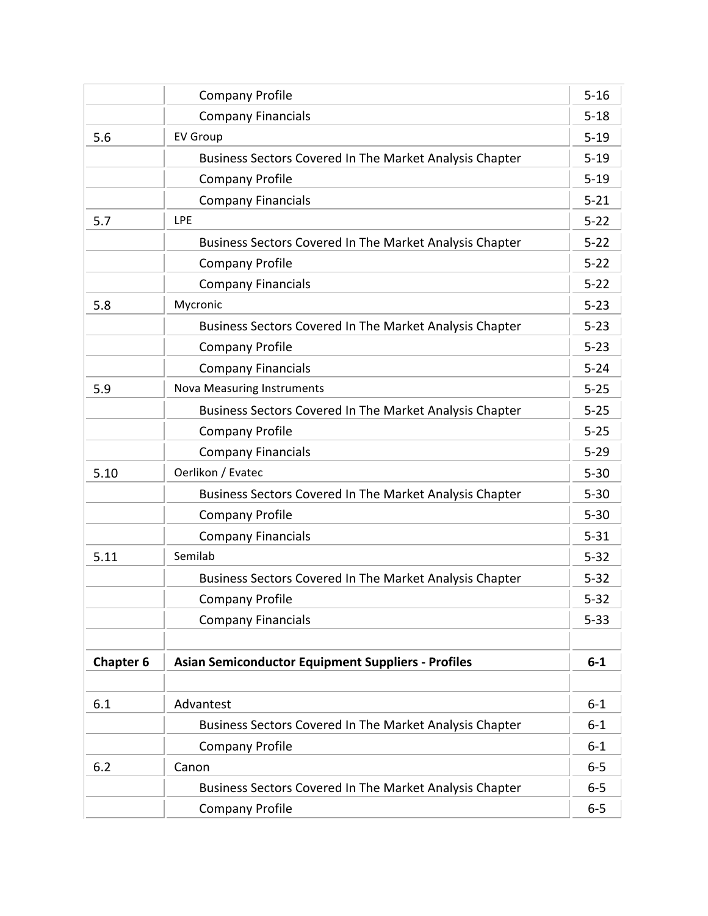|                  | <b>Company Profile</b>                                    | $5 - 16$ |
|------------------|-----------------------------------------------------------|----------|
|                  | <b>Company Financials</b>                                 | $5 - 18$ |
| 5.6              | <b>EV Group</b>                                           | $5 - 19$ |
|                  | Business Sectors Covered In The Market Analysis Chapter   | $5 - 19$ |
|                  | <b>Company Profile</b>                                    | $5 - 19$ |
|                  | <b>Company Financials</b>                                 | $5 - 21$ |
| 5.7              | <b>LPE</b>                                                | $5 - 22$ |
|                  | Business Sectors Covered In The Market Analysis Chapter   | $5 - 22$ |
|                  | <b>Company Profile</b>                                    | $5 - 22$ |
|                  | <b>Company Financials</b>                                 | $5 - 22$ |
| 5.8              | Mycronic                                                  | $5 - 23$ |
|                  | Business Sectors Covered In The Market Analysis Chapter   | $5 - 23$ |
|                  | <b>Company Profile</b>                                    | $5 - 23$ |
|                  | <b>Company Financials</b>                                 | $5 - 24$ |
| 5.9              | <b>Nova Measuring Instruments</b>                         | $5 - 25$ |
|                  | Business Sectors Covered In The Market Analysis Chapter   | $5 - 25$ |
|                  | <b>Company Profile</b>                                    | $5 - 25$ |
|                  | <b>Company Financials</b>                                 | $5 - 29$ |
| 5.10             | Oerlikon / Evatec                                         | $5 - 30$ |
|                  | Business Sectors Covered In The Market Analysis Chapter   | $5 - 30$ |
|                  | <b>Company Profile</b>                                    | $5 - 30$ |
|                  | <b>Company Financials</b>                                 | $5 - 31$ |
| 5.11             | Semilab                                                   | $5 - 32$ |
|                  | Business Sectors Covered In The Market Analysis Chapter   | $5 - 32$ |
|                  | <b>Company Profile</b>                                    | $5 - 32$ |
|                  | <b>Company Financials</b>                                 | $5 - 33$ |
|                  |                                                           |          |
| <b>Chapter 6</b> | <b>Asian Semiconductor Equipment Suppliers - Profiles</b> | $6 - 1$  |
|                  |                                                           |          |
| 6.1              | Advantest                                                 | $6 - 1$  |
|                  | Business Sectors Covered In The Market Analysis Chapter   | $6 - 1$  |
|                  | <b>Company Profile</b>                                    | $6 - 1$  |
| 6.2              | Canon                                                     | $6-5$    |
|                  | Business Sectors Covered In The Market Analysis Chapter   | $6-5$    |
|                  | <b>Company Profile</b>                                    | $6-5$    |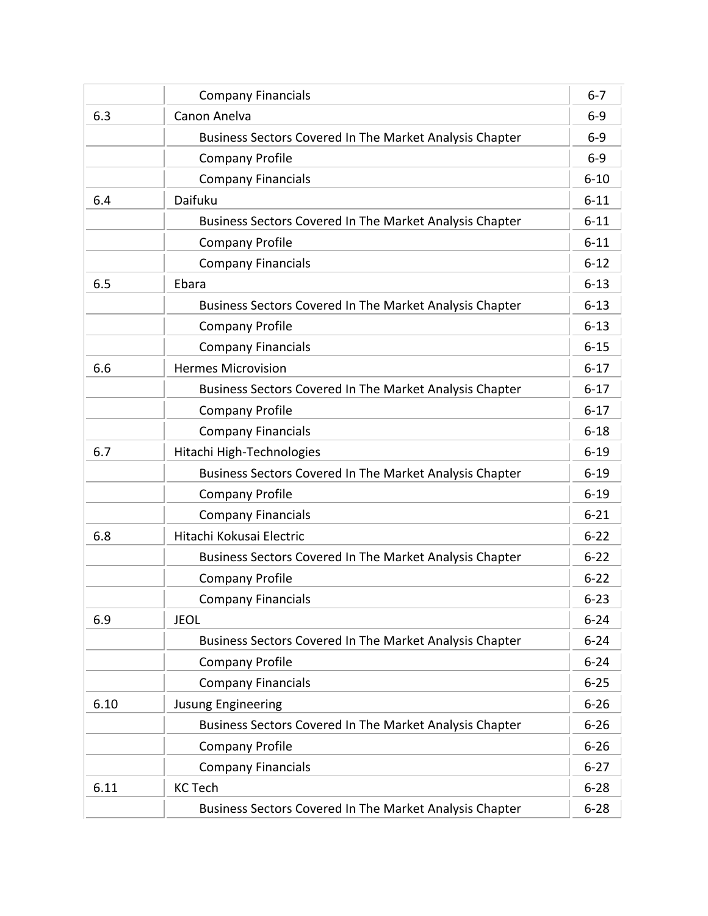|      | <b>Company Financials</b>                               | $6 - 7$  |
|------|---------------------------------------------------------|----------|
| 6.3  | Canon Anelva                                            | $6-9$    |
|      | Business Sectors Covered In The Market Analysis Chapter | $6-9$    |
|      | <b>Company Profile</b>                                  | $6-9$    |
|      | <b>Company Financials</b>                               | $6 - 10$ |
| 6.4  | Daifuku                                                 | $6 - 11$ |
|      | Business Sectors Covered In The Market Analysis Chapter | $6 - 11$ |
|      | <b>Company Profile</b>                                  | $6 - 11$ |
|      | <b>Company Financials</b>                               | $6 - 12$ |
| 6.5  | Ebara                                                   | $6 - 13$ |
|      | Business Sectors Covered In The Market Analysis Chapter | $6 - 13$ |
|      | <b>Company Profile</b>                                  | $6 - 13$ |
|      | <b>Company Financials</b>                               | $6 - 15$ |
| 6.6  | <b>Hermes Microvision</b>                               | $6 - 17$ |
|      | Business Sectors Covered In The Market Analysis Chapter | $6 - 17$ |
|      | <b>Company Profile</b>                                  | $6 - 17$ |
|      | <b>Company Financials</b>                               | $6 - 18$ |
| 6.7  | Hitachi High-Technologies                               | $6 - 19$ |
|      | Business Sectors Covered In The Market Analysis Chapter | $6 - 19$ |
|      | <b>Company Profile</b>                                  | $6 - 19$ |
|      | <b>Company Financials</b>                               | $6 - 21$ |
| 6.8  | Hitachi Kokusai Electric                                | $6 - 22$ |
|      | Business Sectors Covered In The Market Analysis Chapter | $6 - 22$ |
|      | <b>Company Profile</b>                                  | $6 - 22$ |
|      | <b>Company Financials</b>                               | $6 - 23$ |
| 6.9  | <b>JEOL</b>                                             | $6 - 24$ |
|      | Business Sectors Covered In The Market Analysis Chapter | $6 - 24$ |
|      | <b>Company Profile</b>                                  | $6 - 24$ |
|      | <b>Company Financials</b>                               | $6 - 25$ |
| 6.10 | <b>Jusung Engineering</b>                               | $6 - 26$ |
|      | Business Sectors Covered In The Market Analysis Chapter | $6 - 26$ |
|      | <b>Company Profile</b>                                  | $6 - 26$ |
|      | <b>Company Financials</b>                               | $6 - 27$ |
| 6.11 | <b>KC Tech</b>                                          | $6 - 28$ |
|      | Business Sectors Covered In The Market Analysis Chapter | $6 - 28$ |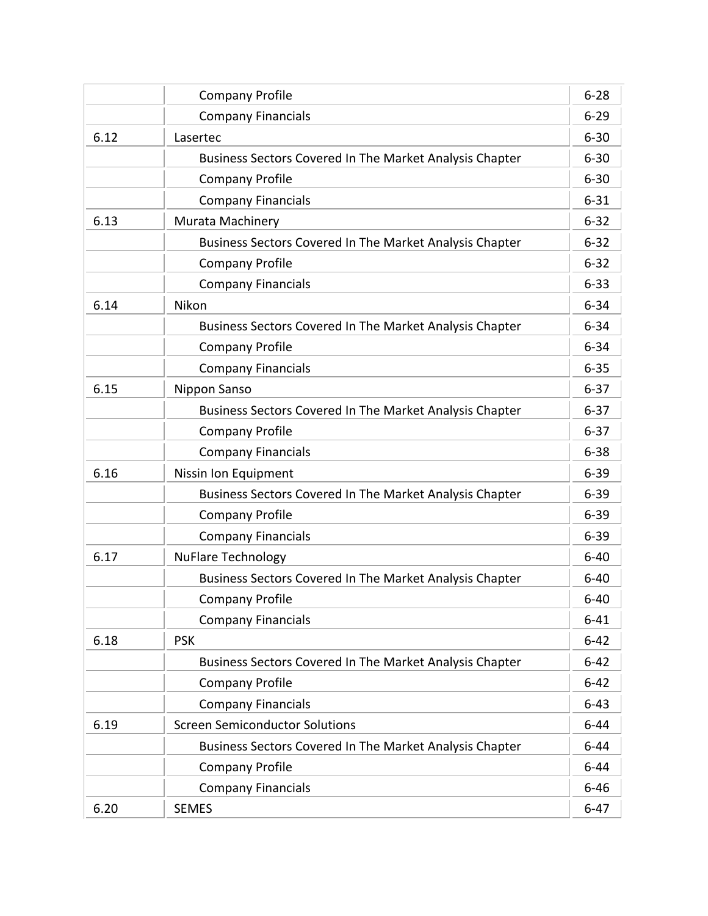|      | <b>Company Profile</b>                                  | $6 - 28$ |
|------|---------------------------------------------------------|----------|
|      | <b>Company Financials</b>                               | $6 - 29$ |
| 6.12 | Lasertec                                                | $6 - 30$ |
|      | Business Sectors Covered In The Market Analysis Chapter | $6 - 30$ |
|      | <b>Company Profile</b>                                  | $6 - 30$ |
|      | <b>Company Financials</b>                               | $6 - 31$ |
| 6.13 | Murata Machinery                                        | $6 - 32$ |
|      | Business Sectors Covered In The Market Analysis Chapter | $6 - 32$ |
|      | <b>Company Profile</b>                                  | $6 - 32$ |
|      | <b>Company Financials</b>                               | $6 - 33$ |
| 6.14 | Nikon                                                   | $6 - 34$ |
|      | Business Sectors Covered In The Market Analysis Chapter | $6 - 34$ |
|      | <b>Company Profile</b>                                  | $6 - 34$ |
|      | <b>Company Financials</b>                               | $6 - 35$ |
| 6.15 | Nippon Sanso                                            | $6 - 37$ |
|      | Business Sectors Covered In The Market Analysis Chapter | $6 - 37$ |
|      | <b>Company Profile</b>                                  | $6 - 37$ |
|      | <b>Company Financials</b>                               | $6 - 38$ |
| 6.16 | Nissin Ion Equipment                                    | $6 - 39$ |
|      | Business Sectors Covered In The Market Analysis Chapter | $6 - 39$ |
|      | <b>Company Profile</b>                                  | $6 - 39$ |
|      | <b>Company Financials</b>                               | $6 - 39$ |
| 6.17 | <b>NuFlare Technology</b>                               | $6 - 40$ |
|      | Business Sectors Covered In The Market Analysis Chapter | $6 - 40$ |
|      | <b>Company Profile</b>                                  | $6 - 40$ |
|      | <b>Company Financials</b>                               | $6 - 41$ |
| 6.18 | <b>PSK</b>                                              | $6 - 42$ |
|      | Business Sectors Covered In The Market Analysis Chapter | $6 - 42$ |
|      | <b>Company Profile</b>                                  | $6 - 42$ |
|      | <b>Company Financials</b>                               | $6 - 43$ |
| 6.19 | <b>Screen Semiconductor Solutions</b>                   | $6 - 44$ |
|      | Business Sectors Covered In The Market Analysis Chapter | $6 - 44$ |
|      | <b>Company Profile</b>                                  | $6 - 44$ |
|      | <b>Company Financials</b>                               | $6 - 46$ |
| 6.20 | <b>SEMES</b>                                            | $6 - 47$ |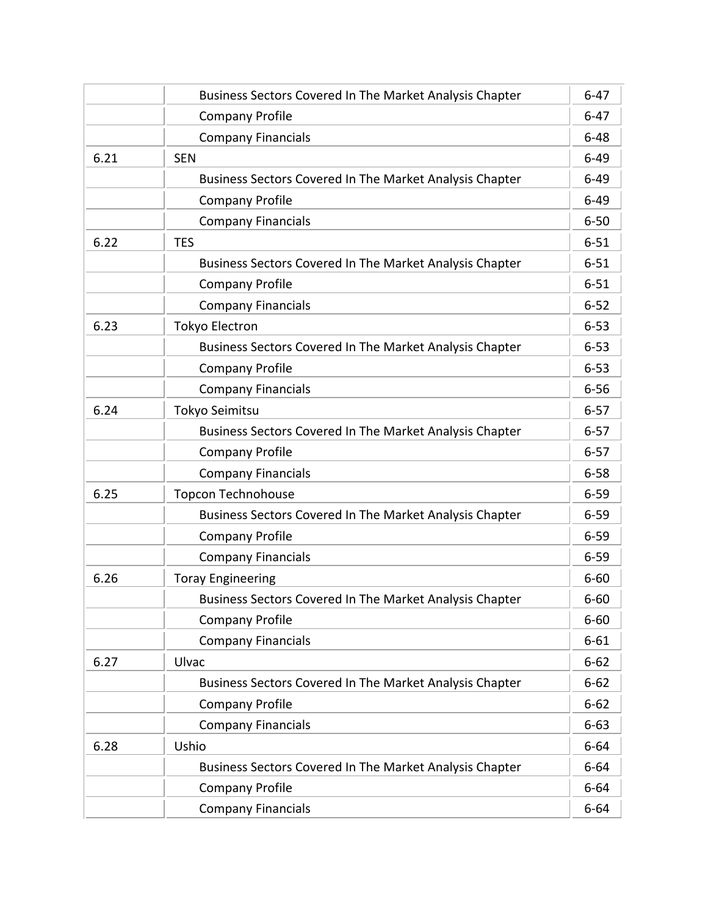|      | Business Sectors Covered In The Market Analysis Chapter        | $6 - 47$ |
|------|----------------------------------------------------------------|----------|
|      | <b>Company Profile</b>                                         | $6 - 47$ |
|      | <b>Company Financials</b>                                      | $6 - 48$ |
| 6.21 | <b>SEN</b>                                                     | $6 - 49$ |
|      | Business Sectors Covered In The Market Analysis Chapter        | $6 - 49$ |
|      | <b>Company Profile</b>                                         | $6 - 49$ |
|      | <b>Company Financials</b>                                      | $6 - 50$ |
| 6.22 | <b>TES</b>                                                     | $6 - 51$ |
|      | Business Sectors Covered In The Market Analysis Chapter        | $6 - 51$ |
|      | <b>Company Profile</b>                                         | $6 - 51$ |
|      | <b>Company Financials</b>                                      | $6 - 52$ |
| 6.23 | <b>Tokyo Electron</b>                                          | $6 - 53$ |
|      | Business Sectors Covered In The Market Analysis Chapter        | $6 - 53$ |
|      | <b>Company Profile</b>                                         | $6 - 53$ |
|      | <b>Company Financials</b>                                      | $6 - 56$ |
| 6.24 | Tokyo Seimitsu                                                 | $6 - 57$ |
|      | Business Sectors Covered In The Market Analysis Chapter        | $6 - 57$ |
|      | <b>Company Profile</b>                                         | $6 - 57$ |
|      | <b>Company Financials</b>                                      | $6 - 58$ |
| 6.25 | <b>Topcon Technohouse</b>                                      | $6 - 59$ |
|      | Business Sectors Covered In The Market Analysis Chapter        | $6 - 59$ |
|      | <b>Company Profile</b>                                         | $6 - 59$ |
|      | <b>Company Financials</b>                                      | $6 - 59$ |
| 6.26 | <b>Toray Engineering</b>                                       | $6 - 60$ |
|      | <b>Business Sectors Covered In The Market Analysis Chapter</b> | $6 - 60$ |
|      | <b>Company Profile</b>                                         | $6 - 60$ |
|      | <b>Company Financials</b>                                      | $6 - 61$ |
| 6.27 | Ulvac                                                          | $6 - 62$ |
|      | Business Sectors Covered In The Market Analysis Chapter        | $6 - 62$ |
|      | <b>Company Profile</b>                                         | $6 - 62$ |
|      | <b>Company Financials</b>                                      | $6 - 63$ |
| 6.28 | Ushio                                                          | $6 - 64$ |
|      | Business Sectors Covered In The Market Analysis Chapter        | $6 - 64$ |
|      | <b>Company Profile</b>                                         | $6 - 64$ |
|      | <b>Company Financials</b>                                      | $6 - 64$ |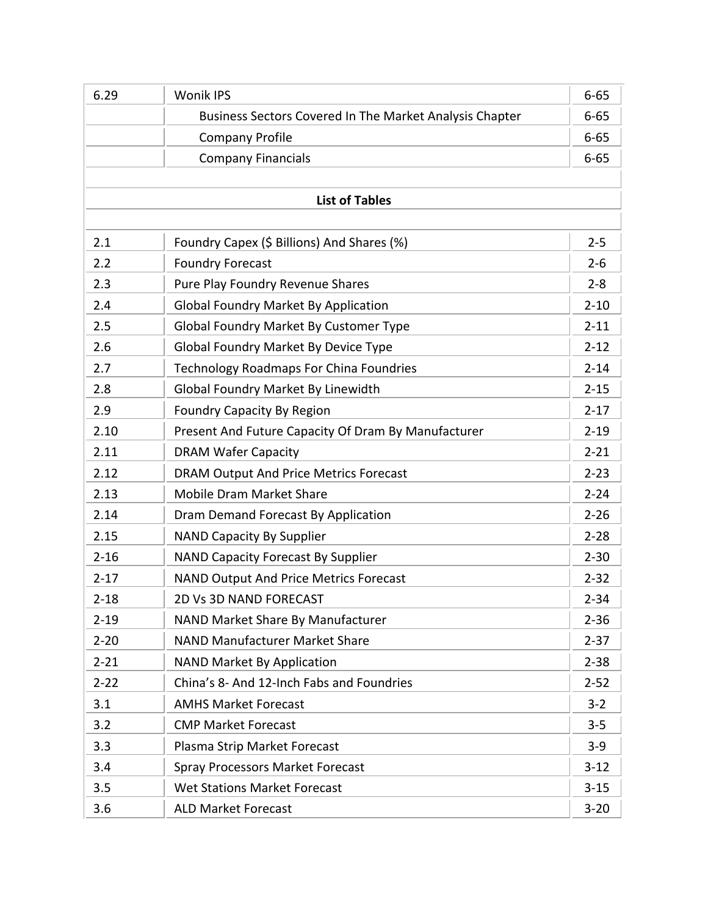| 6.29     | <b>Wonik IPS</b>                                        | $6 - 65$ |
|----------|---------------------------------------------------------|----------|
|          | Business Sectors Covered In The Market Analysis Chapter | $6 - 65$ |
|          | <b>Company Profile</b>                                  | $6 - 65$ |
|          | <b>Company Financials</b>                               | $6 - 65$ |
|          |                                                         |          |
|          | <b>List of Tables</b>                                   |          |
|          |                                                         |          |
| 2.1      | Foundry Capex (\$ Billions) And Shares (%)              | $2 - 5$  |
| 2.2      | <b>Foundry Forecast</b>                                 | $2 - 6$  |
| 2.3      | Pure Play Foundry Revenue Shares                        | $2 - 8$  |
| 2.4      | <b>Global Foundry Market By Application</b>             | $2 - 10$ |
| 2.5      | Global Foundry Market By Customer Type                  | $2 - 11$ |
| 2.6      | <b>Global Foundry Market By Device Type</b>             | $2 - 12$ |
| 2.7      | <b>Technology Roadmaps For China Foundries</b>          | $2 - 14$ |
| 2.8      | <b>Global Foundry Market By Linewidth</b>               | $2 - 15$ |
| 2.9      | <b>Foundry Capacity By Region</b>                       | $2 - 17$ |
| 2.10     | Present And Future Capacity Of Dram By Manufacturer     | $2 - 19$ |
| 2.11     | <b>DRAM Wafer Capacity</b>                              | $2 - 21$ |
| 2.12     | <b>DRAM Output And Price Metrics Forecast</b>           | $2 - 23$ |
| 2.13     | <b>Mobile Dram Market Share</b>                         | $2 - 24$ |
| 2.14     | Dram Demand Forecast By Application                     | $2 - 26$ |
| 2.15     | <b>NAND Capacity By Supplier</b>                        | $2 - 28$ |
| $2 - 16$ | <b>NAND Capacity Forecast By Supplier</b>               | $2 - 30$ |
| $2 - 17$ | <b>NAND Output And Price Metrics Forecast</b>           | $2 - 32$ |
| $2 - 18$ | 2D Vs 3D NAND FORECAST                                  | $2 - 34$ |
| $2 - 19$ | NAND Market Share By Manufacturer                       | $2 - 36$ |
| $2 - 20$ | <b>NAND Manufacturer Market Share</b>                   | $2 - 37$ |
| $2 - 21$ | <b>NAND Market By Application</b>                       | $2 - 38$ |
| $2 - 22$ | China's 8- And 12-Inch Fabs and Foundries               | $2 - 52$ |
| 3.1      | <b>AMHS Market Forecast</b>                             | $3 - 2$  |
| 3.2      | <b>CMP Market Forecast</b>                              | $3 - 5$  |
| 3.3      | Plasma Strip Market Forecast                            | $3-9$    |
| 3.4      | <b>Spray Processors Market Forecast</b>                 | $3 - 12$ |
| 3.5      | Wet Stations Market Forecast                            | $3 - 15$ |
| 3.6      | <b>ALD Market Forecast</b>                              | $3 - 20$ |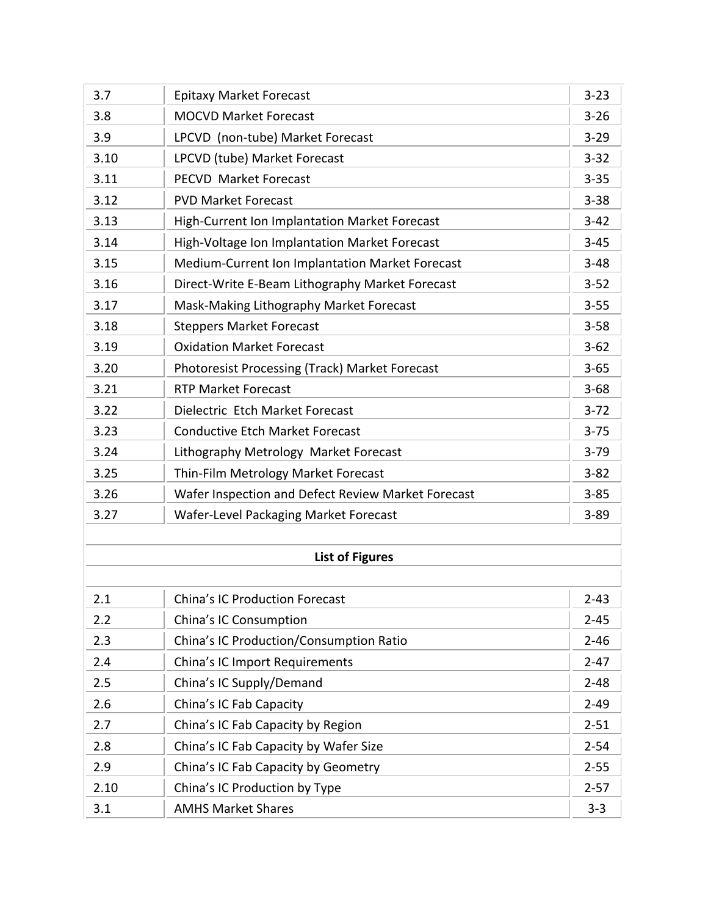| 3.7  | <b>Epitaxy Market Forecast</b>                        | $3 - 23$ |
|------|-------------------------------------------------------|----------|
| 3.8  | <b>MOCVD Market Forecast</b>                          | $3 - 26$ |
| 3.9  | LPCVD (non-tube) Market Forecast                      | $3 - 29$ |
| 3.10 | LPCVD (tube) Market Forecast                          | $3 - 32$ |
| 3.11 | <b>PECVD Market Forecast</b>                          | $3 - 35$ |
| 3.12 | <b>PVD Market Forecast</b>                            | $3 - 38$ |
| 3.13 | High-Current Ion Implantation Market Forecast         | $3 - 42$ |
| 3.14 | High-Voltage Ion Implantation Market Forecast         | $3 - 45$ |
| 3.15 | Medium-Current Ion Implantation Market Forecast       | $3 - 48$ |
| 3.16 | Direct-Write E-Beam Lithography Market Forecast       | $3 - 52$ |
| 3.17 | Mask-Making Lithography Market Forecast               | $3 - 55$ |
| 3.18 | <b>Steppers Market Forecast</b>                       | $3 - 58$ |
| 3.19 | <b>Oxidation Market Forecast</b>                      | $3 - 62$ |
| 3.20 | <b>Photoresist Processing (Track) Market Forecast</b> | $3 - 65$ |
| 3.21 | <b>RTP Market Forecast</b>                            | $3 - 68$ |
| 3.22 | Dielectric Etch Market Forecast                       | $3 - 72$ |
| 3.23 | <b>Conductive Etch Market Forecast</b>                | $3 - 75$ |
| 3.24 | Lithography Metrology Market Forecast                 | $3 - 79$ |
| 3.25 | Thin-Film Metrology Market Forecast                   | $3 - 82$ |
| 3.26 | Wafer Inspection and Defect Review Market Forecast    | $3 - 85$ |
| 3.27 | Wafer-Level Packaging Market Forecast                 | $3 - 89$ |
|      |                                                       |          |
|      | <b>List of Figures</b>                                |          |
|      |                                                       |          |
| 2.1  | <b>China's IC Production Forecast</b>                 | $2 - 43$ |
| 2.2  | China's IC Consumption                                | $2 - 45$ |
| 2.3  | China's IC Production/Consumption Ratio               | $2 - 46$ |
| 2.4  | China's IC Import Requirements                        | $2 - 47$ |
| 2.5  | China's IC Supply/Demand                              | $2 - 48$ |
| 2.6  | China's IC Fab Capacity                               | $2 - 49$ |
| 2.7  | China's IC Fab Capacity by Region                     | $2 - 51$ |
| 2.8  | China's IC Fab Capacity by Wafer Size                 | $2 - 54$ |
| 2.9  | China's IC Fab Capacity by Geometry                   | $2 - 55$ |
| 2.10 | China's IC Production by Type                         | $2 - 57$ |
| 3.1  | <b>AMHS Market Shares</b>                             | $3 - 3$  |